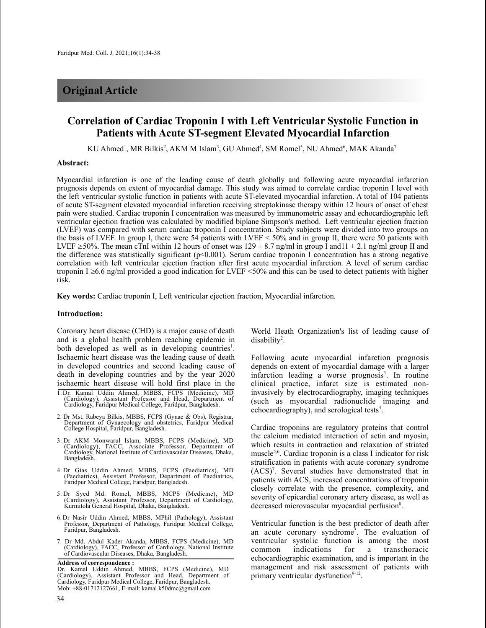# **Original Article**

# **Correlation of Cardiac Troponin I with Left Ventricular Systolic Function in Patients with Acute ST-segment Elevated Myocardial Infarction**

KU Ahmed<sup>1</sup>, MR Bilkis<sup>2</sup>, AKM M Islam<sup>3</sup>, GU Ahmed<sup>4</sup>, SM Romel<sup>5</sup>, NU Ahmed<sup>6</sup>, MAK Akanda<sup>7</sup>

#### **Abstract:**

Myocardial infarction is one of the leading cause of death globally and following acute myocardial infarction prognosis depends on extent of myocardial damage. This study was aimed to correlate cardiac troponin I level with the left ventricular systolic function in patients with acute ST-elevated myocardial infarction. A total of 104 patients of acute ST-segment elevated myocardial infarction receiving streptokinase therapy within 12 hours of onset of chest pain were studied. Cardiac troponin I concentration was measured by immunometric assay and echocardiographic left ventricular ejection fraction was calculated by modified biplane Simpson's method. Left ventricular ejection fraction (LVEF) was compared with serum cardiac troponin I concentration. Study subjects were divided into two groups on the basis of LVEF. In group I, there were 54 patients with LVEF < 50% and in group II, there were 50 patients with LVEF  $\geq$ 50%. The mean cTnI within 12 hours of onset was 129  $\pm$  8.7 ng/ml in group I and11  $\pm$  2.1 ng/ml group II and the difference was statistically significant ( $p<0.001$ ). Serum cardiac troponin I concentration has a strong negative correlation with left ventricular ejection fraction after first acute myocardial infarction. A level of serum cardiac troponin I  $\geq 6.6$  ng/ml provided a good indication for LVEF <50% and this can be used to detect patients with higher risk.

**Key words:** Cardiac troponin I, Left ventricular ejection fraction, Myocardial infarction.

## **Introduction:**

Coronary heart disease (CHD) is a major cause of death and is a global health problem reaching epidemic in both developed as well as in developing countries<sup>1</sup>. Ischaemic heart disease was the leading cause of death in developed countries and second leading cause of death in developing countries and by the year 2020 ischaemic heart disease will hold first place in the

- 2. Dr Mst. Rabeya Bilkis, MBBS, FCPS (Gynae & Obs), Registrar, Department of Gynaecology and obstetrics, Faridpur Medical College Hospital, Faridpur, Bangladesh.
- 3. Dr AKM Monwarul Islam, MBBS, FCPS (Medicine), MD (Cardiology), FACC, Associate Professor, Department of Cardiology, National Institute of Cardiovascular Diseases, Dhaka, Bangladesh.
- 4. Dr Gias Uddin Ahmed, MBBS, FCPS (Paediatrics), MD (Paediatrics), Assistant Professor, Department of Paediatrics, Faridpur Medical College, Faridpur, Bangladesh.
- 5. Dr Syed Md. Romel, MBBS, MCPS (Medicine), MD (Cardiology), Assistant Professor, Department of Cardiology, Kurmitola General Hospital, Dhaka, Bangladesh.
- 6. Dr Nasir Uddin Ahmed, MBBS, MPhil (Pathology), Assistant Professor, Department of Pathology, Faridpur Medical College, Faridpur, Bangladesh.
- 7. Dr Md. Abdul Kader Akanda, MBBS, FCPS (Medicine), MD (Cardiology), FACC, Professor of Cardiology, National Institute of Cardiovascular Diseases, Dhaka, Bangladesh.

World Heath Organization's list of leading cause of  $disability<sup>2</sup>$ .

Following acute myocardial infarction prognosis depends on extent of myocardial damage with a larger infarction leading a worse prognosis<sup>3</sup>. In routine clinical practice, infarct size is estimated noninvasively by electrocardiography, imaging techniques (such as myocardial radionuclide imaging and echocardiography), and serological tests<sup>4</sup>.

Cardiac troponins are regulatory proteins that control the calcium mediated interaction of actin and myosin, which results in contraction and relaxation of striated muscle5,6 . Cardiac troponin is a class I indicator for risk stratification in patients with acute coronary syndrome (ACS) 7 . Several studies have demonstrated that in patients with ACS, increased concentrations of troponin closely correlate with the presence, complexity, and severity of epicardial coronary artery disease, as well as decreased microvascular myocardial perfusion<sup>8</sup>.

Ventricular function is the best predictor of death after an acute coronary syndrome<sup>5</sup>. The evaluation of ventricular systolic function is among the most common indications for a transthoracic echocardiographic examination, and is important in the management and risk assessment of patients with primary ventricular dysfunction<sup>9-12</sup>.

<sup>1.</sup> Dr. Kamal Uddin Ahmed, MBBS, FCPS (Medicine), MD (Cardiology), Assistant Professor and Head, Department of Cardiology, Faridpur Medical College, Faridpur, Bangladesh.

**Address of correspondence :** Dr. Kamal Uddin Ahmed, MBBS, FCPS (Medicine), MD (Cardiology), Assistant Professor and Head, Department of Cardiology, Faridpur Medical College, Faridpur, Bangladesh. Mob: +88-01712127661, E-mail: kamal.k50dmc@gmail.com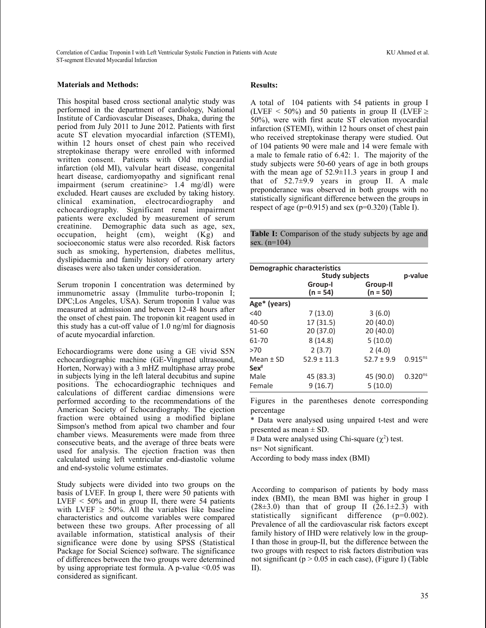Correlation of Cardiac Troponin I with Left Ventricular Systolic Function in Patients with Acute KU Ahmed et al. ST-segment Elevated Myocardial Infarction

## **Materials and Methods:**

This hospital based cross sectional analytic study was performed in the department of cardiology, National Institute of Cardiovascular Diseases, Dhaka, during the period from July 2011 to June 2012. Patients with first acute ST elevation myocardial infarction (STEMI), within 12 hours onset of chest pain who received streptokinase therapy were enrolled with informed written consent. Patients with Old myocardial infarction (old MI), valvular heart disease, congenital heart disease, cardiomyopathy and significant renal impairment (serum creatinine> 1.4 mg/dl) were excluded. Heart causes are excluded by taking history. clinical examination, electrocardiography and echocardiography. Significant renal impairment patients were excluded by measurement of serum creatinine. Demographic data such as age, sex, occupation, height (cm), weight (Kg) and socioeconomic status were also recorded. Risk factors such as smoking, hypertension, diabetes mellitus, dyslipidaemia and family history of coronary artery diseases were also taken under consideration.

Serum troponin I concentration was determined by immunometric assay (Immulite turbo-troponin I; DPC;Los Angeles, USA). Serum troponin I value was measured at admission and between 12-48 hours after the onset of chest pain. The troponin kit reagent used in this study has a cut-off value of 1.0 ng/ml for diagnosis of acute myocardial infarction.

Echocardiograms were done using a GE vivid S5N echocardiographic machine (GE-Vingmed ultrasound, Horten, Norway) with a 3 mHZ multiphase array probe in subjects lying in the left lateral decubitus and supine positions. The echocardiographic techniques and calculations of different cardiac dimensions were performed according to the recommendations of the American Society of Echocardiography. The ejection fraction were obtained using a modified biplane Simpson's method from apical two chamber and four chamber views. Measurements were made from three consecutive beats, and the average of three beats were used for analysis. The ejection fraction was then calculated using left ventricular end-diastolic volume and end-systolic volume estimates.

Study subjects were divided into two groups on the basis of LVEF. In group I, there were 50 patients with LVEF  $\leq 50\%$  and in group II, there were 54 patients with LVEF  $\geq$  50%. All the variables like baseline characteristics and outcome variables were compared between these two groups. After processing of all available information, statistical analysis of their significance were done by using SPSS (Statistical Package for Social Science) software. The significance of differences between the two groups were determined by using appropriate test formula. A p-value  $\leq 0.05$  was considered as significant.

### **Results:**

A total of 104 patients with 54 patients in group I (LVEF  $\leq$  50%) and 50 patients in group II (LVEF  $\geq$ 50%), were with first acute ST elevation myocardial infarction (STEMI), within 12 hours onset of chest pain who received streptokinase therapy were studied. Out of 104 patients 90 were male and 14 were female with a male to female ratio of 6.42: 1. The majority of the study subjects were 50-60 years of age in both groups with the mean age of  $52.9 \pm 11.3$  years in group I and that of 52.7±9.9 years in group II. A male preponderance was observed in both groups with no statistically significant difference between the groups in respect of age ( $p=0.915$ ) and sex ( $p=0.320$ ) (Table I).

**Table I:** Comparison of the study subjects by age and sex.  $(n=104)$ 

| Demographic characteristics | p-value               |                        |              |
|-----------------------------|-----------------------|------------------------|--------------|
|                             | Group-I<br>$(n = 54)$ | Group-II<br>$(n = 50)$ |              |
| Age* (years)                |                       |                        |              |
| $<$ 40                      | 7(13.0)               | 3(6.0)                 |              |
| 40-50                       | 17 (31.5)             | 20(40.0)               |              |
| 51-60                       | 20 (37.0)             | 20 (40.0)              |              |
| 61-70                       | 8(14.8)               | 5(10.0)                |              |
| >70                         | 2(3.7)                | 2(4.0)                 |              |
| Mean $±$ SD                 | $52.9 \pm 11.3$       | $52.7 \pm 9.9$         | $0.915^{ns}$ |
| $Sex^#$                     |                       |                        |              |
| Male                        | 45 (83.3)             | 45 (90.0)              | $0.320^{ns}$ |
| Female                      | 9(16.7)               | 5(10.0)                |              |

Figures in the parentheses denote corresponding percentage

\* Data were analysed using unpaired t-test and were presented as mean  $\pm$  SD.

# Data were analysed using Chi-square  $(\chi^2)$  test.

ns= Not significant.

According to body mass index (BMI)

According to comparison of patients by body mass index (BMI), the mean BMI was higher in group I  $(28\pm3.0)$  than that of group II  $(26.1\pm2.3)$  with statistically significant difference (p=0.002). Prevalence of all the cardiovascular risk factors except family history of IHD were relatively low in the group-I than those in group-II, but the difference between the two groups with respect to risk factors distribution was not significant ( $p > 0.05$  in each case), (Figure I) (Table II).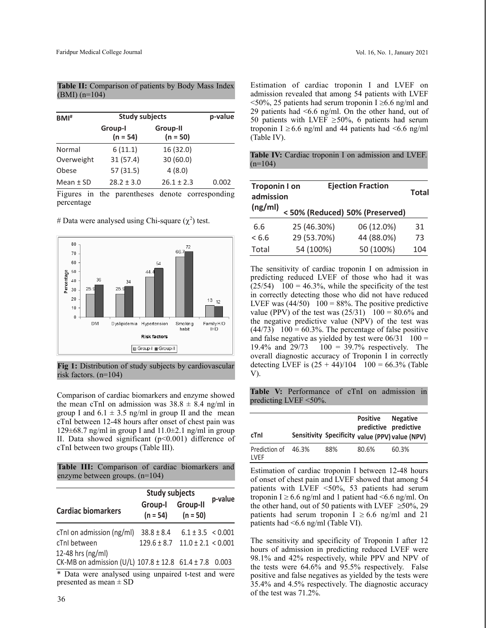| BM <sup>#</sup> | <b>Study subjects</b> | p-value                |       |
|-----------------|-----------------------|------------------------|-------|
|                 | Group-I<br>$(n = 54)$ | Group-II<br>$(n = 50)$ |       |
| Normal          | 6(11.1)               | 16 (32.0)              |       |
| Overweight      | 31(57.4)              | 30(60.0)               |       |
| Obese           | 57(31.5)              | 4(8.0)                 |       |
| Mean $±$ SD     | $28.2 \pm 3.0$        | $26.1 \pm 2.3$         | 0.002 |

**Table II:** Comparison of patients by Body Mass Index (BMI) (n=104)

Figures in the parentheses denote corresponding percentage

# Data were analysed using Chi-square  $(\chi^2)$  test.



**Fig 1:** Distribution of study subjects by cardiovascular risk factors. (n=104)

Comparison of cardiac biomarkers and enzyme showed the mean cTnI on admission was  $38.8 \pm 8.4$  ng/ml in group I and  $6.1 \pm 3.5$  ng/ml in group II and the mean cTnI between 12-48 hours after onset of chest pain was 129 $\pm$ 68.7 ng/ml in group I and 11.0 $\pm$ 2.1 ng/ml in group II. Data showed significant  $(p<0.001)$  difference of cTnI between two groups (Table III).

|  | Table III: Comparison of cardiac biomarkers and |  |  |
|--|-------------------------------------------------|--|--|
|  | enzyme between groups. $(n=104)$                |  |  |

|                                                        | <b>Study subjects</b> |                               |         |
|--------------------------------------------------------|-----------------------|-------------------------------|---------|
| <b>Cardiac biomarkers</b>                              | Group-I<br>$(n = 54)$ | <b>Group-II</b><br>$(n = 50)$ | p-value |
| cTnl on admission (ng/ml)                              | $38.8 \pm 8.4$        | $6.1 \pm 3.5 \leq 0.001$      |         |
| cTnI between<br>12-48 hrs (ng/ml)                      | $129.6 \pm 8.7$       | $11.0 \pm 2.1 \le 0.001$      |         |
| CK-MB on admission (U/L) 107.8 ± 12.8 61.4 ± 7.8 0.003 |                       |                               |         |

\* Data were analysed using unpaired t-test and were presented as mean  $\pm$  SD

Estimation of cardiac troponin I and LVEF on admission revealed that among 54 patients with LVEF  $\leq$ 50%, 25 patients had serum troponin I  $\geq$ 6.6 ng/ml and 29 patients had <6.6 ng/ml. On the other hand, out of 50 patients with LVEF  $\geq$ 50%, 6 patients had serum troponin I  $\geq 6.6$  ng/ml and 44 patients had <6.6 ng/ml (Table IV).

**Table IV:** Cardiac troponin I on admission and LVEF.  $(n=104)$ 

| <b>Troponin I on</b><br>admission |                                | <b>Ejection Fraction</b> | <b>Total</b> |
|-----------------------------------|--------------------------------|--------------------------|--------------|
| (ng/ml)                           | <50% (Reduced) 50% (Preserved) |                          |              |
| 6.6                               | 25 (46.30%)                    | 06 (12.0%)               | 31           |
| < 6.6                             | 29 (53.70%)                    | 44 (88.0%)               | 73           |
| Total                             | 54 (100%)                      | 50 (100%)                | 104          |

The sensitivity of cardiac troponin I on admission in predicting reduced LVEF of those who had it was  $(25/54)$  100 = 46.3%, while the specificity of the test in correctly detecting those who did not have reduced LVEF was  $(44/50)$  100 = 88%. The positive predictive value (PPV) of the test was  $(25/31)$  100 = 80.6% and the negative predictive value (NPV) of the test was  $(44/73)$  100 = 60.3%. The percentage of false positive and false negative as yielded by test were  $06/31 \quad 100 =$ 19.4% and 29/73 100 = 39.7% respectively. The overall diagnostic accuracy of Troponin I in correctly detecting LVEF is  $(25 + 44)/104$  100 = 66.3% (Table V).

**Table V:** Performance of cTnI on admission in predicting LVEF <50%.

| cTnl                         |       |     | Positive<br>predictive predictive | <b>Negative</b><br>Sensitivity Specificity value (PPV) value (NPV) |
|------------------------------|-------|-----|-----------------------------------|--------------------------------------------------------------------|
| Prediction of<br><b>IVFF</b> | 46.3% | 88% | 80.6%                             | 60.3%                                                              |

Estimation of cardiac troponin I between 12-48 hours of onset of chest pain and LVEF showed that among 54 patients with LVEF <50%, 53 patients had serum troponin I  $\geq 6.6$  ng/ml and 1 patient had <6.6 ng/ml. On the other hand, out of 50 patients with LVEF  $\geq$ 50%, 29 patients had serum troponin  $I \geq 6.6$  ng/ml and 21 patients had <6.6 ng/ml (Table VI).

The sensitivity and specificity of Troponin I after 12 hours of admission in predicting reduced LVEF were 98.1% and 42% respectively, while PPV and NPV of the tests were 64.6% and 95.5% respectively. False positive and false negatives as yielded by the tests were 35.4% and 4.5% respectively. The diagnostic accuracy of the test was 71.2%. <sup>36</sup>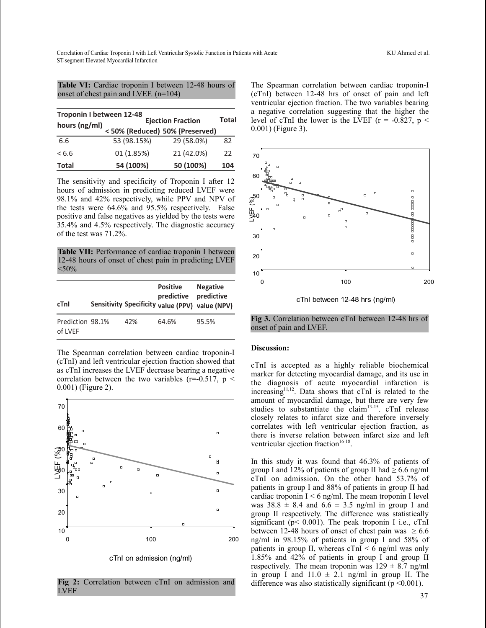**Table VI:** Cardiac troponin I between 12-48 hours of onset of chest pain and LVEF. (n=104)

| Troponin I between 12-48 |                                |              |     |  |  |  |
|--------------------------|--------------------------------|--------------|-----|--|--|--|
| hours (ng/ml)            | <b>Ejection Fraction</b>       | <b>Total</b> |     |  |  |  |
|                          | <50% (Reduced) 50% (Preserved) |              |     |  |  |  |
| 6.6                      | 53 (98.15%)                    | 29 (58.0%)   | 82  |  |  |  |
| < 6.6                    | 01 (1.85%)                     | 21 (42.0%)   | 22  |  |  |  |
| Total                    | 54 (100%)                      | 50 (100%)    | 104 |  |  |  |

The sensitivity and specificity of Troponin I after 12 hours of admission in predicting reduced LVEF were 98.1% and 42% respectively, while PPV and NPV of the tests were 64.6% and 95.5% respectively. False positive and false negatives as yielded by the tests were 35.4% and 4.5% respectively. The diagnostic accuracy of the test was 71.2%.

**Table VII:** Performance of cardiac troponin I between 12-48 hours of onset of chest pain in predicting LVEF  $<$ 50%

| cTnl                        |     | <b>Positive</b><br>predictive | <b>Negative</b><br>predictive<br>Sensitivity Specificity value (PPV) value (NPV) |
|-----------------------------|-----|-------------------------------|----------------------------------------------------------------------------------|
| Prediction 98.1%<br>of LVEF | 42% | 64.6%                         | 95.5%                                                                            |

The Spearman correlation between cardiac troponin-I (cTnI) and left ventricular ejection fraction showed that as cTnI increases the LVEF decrease bearing a negative correlation between the two variables ( $r=0.517$ ,  $p <$ 0.001) (Figure 2).



cTnI on admission (ng/ml)

**Fig 2:** Correlation between cTnI on admission and LVEF

The Spearman correlation between cardiac troponin-I (cTnI) between 12-48 hrs of onset of pain and left ventricular ejection fraction. The two variables bearing a negative correlation suggesting that the higher the level of cTnI the lower is the LVEF ( $r = -0.827$ ,  $p <$ 0.001) (Figure 3).



cTnI between 12-48 hrs (ng/ml)

**Fig 3.** Correlation between cTnI between 12-48 hrs of onset of pain and LVEF.

## **Discussion:**

cTnI is accepted as a highly reliable biochemical marker for detecting myocardial damage, and its use in the diagnosis of acute myocardial infarction is increasing<sup>11,12</sup>. Data shows that cTnI is related to the amount of myocardial damage, but there are very few studies to substantiate the claim<sup>13-15</sup>. cTnI release closely relates to infarct size and therefore inversely correlates with left ventricular ejection fraction, as there is inverse relation between infarct size and left ventricular ejection fraction $16-18$ .

In this study it was found that 46.3% of patients of group I and 12% of patients of group II had  $\geq 6.6$  ng/ml cTnI on admission. On the other hand 53.7% of patients in group I and 88% of patients in group II had cardiac troponin  $I \leq 6$  ng/ml. The mean troponin I level was  $38.8 \pm 8.4$  and  $6.6 \pm 3.5$  ng/ml in group I and group II respectively. The difference was statistically significant ( $p < 0.001$ ). The peak troponin I i.e., cTnI between 12-48 hours of onset of chest pain was  $\geq 6.6$ ng/ml in 98.15% of patients in group I and 58% of patients in group II, whereas  $cTnI < 6$  ng/ml was only 1.85% and 42% of patients in group I and group II respectively. The mean troponin was  $129 \pm 8.7$  ng/ml in group I and  $11.0 \pm 2.1$  ng/ml in group II. The difference was also statistically significant ( $p \le 0.001$ ).